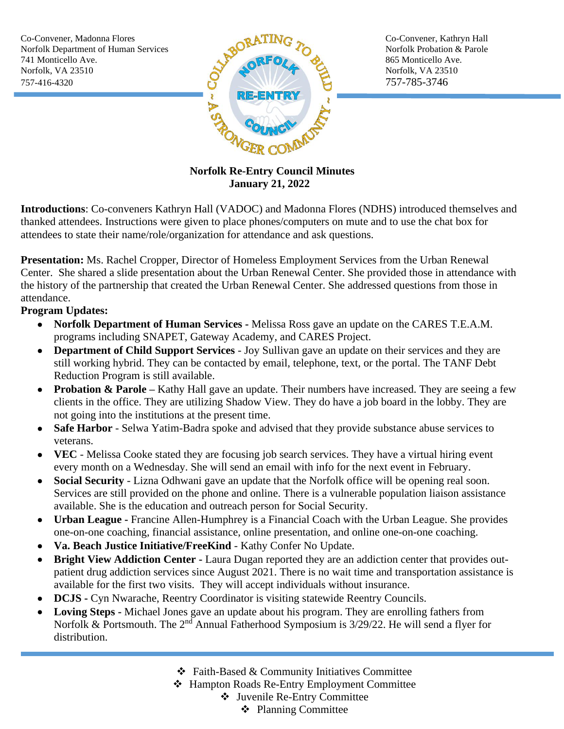

## **Norfolk Re-Entry Council Minutes January 21, 2022**

**Introductions**: Co-conveners Kathryn Hall (VADOC) and Madonna Flores (NDHS) introduced themselves and thanked attendees. Instructions were given to place phones/computers on mute and to use the chat box for attendees to state their name/role/organization for attendance and ask questions.

**Presentation:** Ms. Rachel Cropper, Director of Homeless Employment Services from the Urban Renewal Center. She shared a slide presentation about the Urban Renewal Center. She provided those in attendance with the history of the partnership that created the Urban Renewal Center. She addressed questions from those in attendance.

## **Program Updates:**

- **Norfolk Department of Human Services -** Melissa Ross gave an update on the CARES T.E.A.M. programs including SNAPET, Gateway Academy, and CARES Project.
- **Department of Child Support Services** Joy Sullivan gave an update on their services and they are still working hybrid. They can be contacted by email, telephone, text, or the portal. The TANF Debt Reduction Program is still available.
- **Probation & Parole** Kathy Hall gave an update. Their numbers have increased. They are seeing a few clients in the office. They are utilizing Shadow View. They do have a job board in the lobby. They are not going into the institutions at the present time.
- **Safe Harbor** Selwa Yatim-Badra spoke and advised that they provide substance abuse services to veterans.
- **VEC** Melissa Cooke stated they are focusing job search services. They have a virtual hiring event every month on a Wednesday. She will send an email with info for the next event in February.
- **Social Security** Lizna Odhwani gave an update that the Norfolk office will be opening real soon. Services are still provided on the phone and online. There is a vulnerable population liaison assistance available. She is the education and outreach person for Social Security.
- **Urban League -** Francine Allen-Humphrey is a Financial Coach with the Urban League. She provides one-on-one coaching, financial assistance, online presentation, and online one-on-one coaching.
- **Va. Beach Justice Initiative/FreeKind**  Kathy Confer No Update.
- **Bright View Addiction Center -** Laura Dugan reported they are an addiction center that provides outpatient drug addiction services since August 2021. There is no wait time and transportation assistance is available for the first two visits. They will accept individuals without insurance.
- **DCJS -** Cyn Nwarache, Reentry Coordinator is visiting statewide Reentry Councils.
- **Loving Steps -** Michael Jones gave an update about his program. They are enrolling fathers from Norfolk & Portsmouth. The 2<sup>nd</sup> Annual Fatherhood Symposium is 3/29/22. He will send a flyer for distribution.
	- ❖ Faith-Based & Community Initiatives Committee
	- ❖ Hampton Roads Re-Entry Employment Committee
		- ❖ Juvenile Re-Entry Committee
			- ❖ Planning Committee